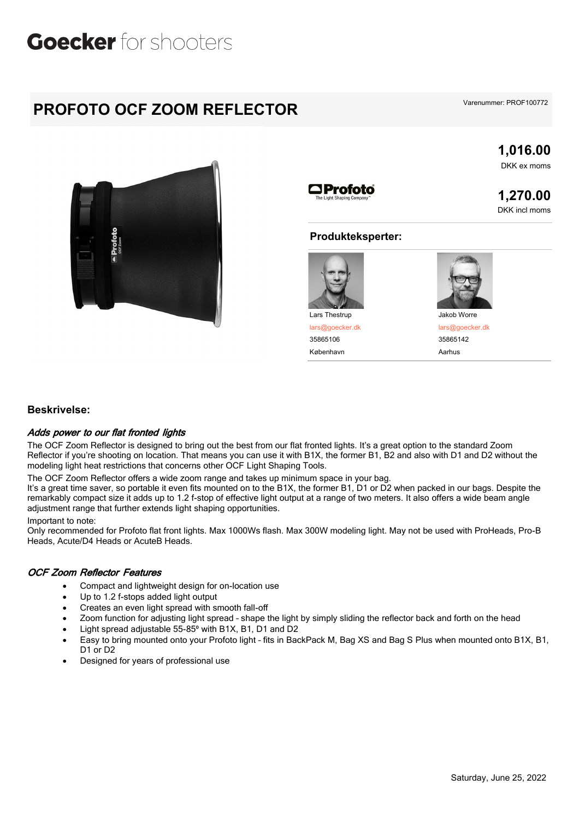## Goecker for shooters

### **PROFOTO OCF ZOOM REFLECTOR**

**1,016.00** DKK ex moms

**1,270.00** DKK incl moms



#### **Produkteksperter:**



lars@goecker.dk 35865106

København **Aarhus** 



Jakob Worre

lars@goecker.dk 35865142

#### **Beskrivelse:**

#### *Adds power to our flat fronted lights*

The OCF Zoom Reflector is designed to bring out the best from our flat fronted lights. It's a great option to the standard Zoom Reflector if you're shooting on location. That means you can use it with B1X, the former B1, B2 and also with D1 and D2 without the modeling light heat restrictions that concerns other OCF Light Shaping Tools.

The OCF Zoom Reflector offers a wide zoom range and takes up minimum space in your bag.

It's a great time saver, so portable it even fits mounted on to the B1X, the former B1, D1 or D2 when packed in our bags. Despite the remarkably compact size it adds up to 1.2 f-stop of effective light output at a range of two meters. It also offers a wide beam angle adjustment range that further extends light shaping opportunities.

Important to note:

Only recommended for Profoto flat front lights. Max 1000Ws flash. Max 300W modeling light. May not be used with ProHeads, Pro-B Heads, Acute/D4 Heads or AcuteB Heads.

#### *OCF Zoom Reflector Features*

- Compact and lightweight design for on-location use
- Up to 1.2 f-stops added light output
- Creates an even light spread with smooth fall-off
- Zoom function for adjusting light spread shape the light by simply sliding the reflector back and forth on the head
- Light spread adjustable 55-85° with B1X, B1, D1 and D2
- · Easy to bring mounted onto your Profoto light fits in BackPack M, Bag XS and Bag S Plus when mounted onto B1X, B1, D<sub>1</sub> or D<sub>2</sub>
- · Designed for years of professional use